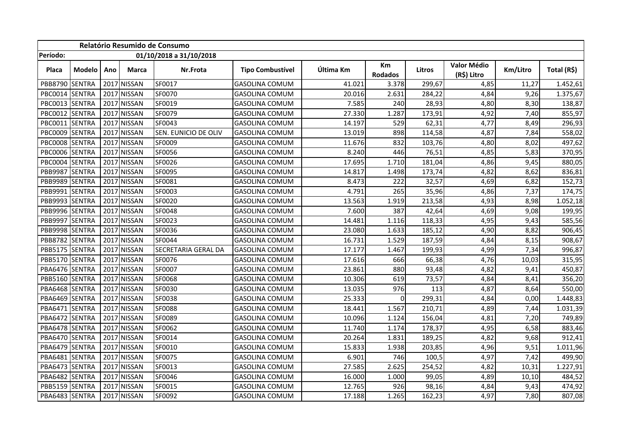| Relatório Resumido de Consumo       |        |      |               |                      |                         |           |               |        |                            |          |             |
|-------------------------------------|--------|------|---------------|----------------------|-------------------------|-----------|---------------|--------|----------------------------|----------|-------------|
| Período:<br>01/10/2018 a 31/10/2018 |        |      |               |                      |                         |           |               |        |                            |          |             |
| Placa                               | Modelo | Ano  | Marca         | Nr.Frota             | <b>Tipo Combustível</b> | Última Km | Km<br>Rodados | Litros | Valor Médio<br>(R\$) Litro | Km/Litro | Total (R\$) |
| PBB8790 SENTRA                      |        |      | 2017 NISSAN   | SF0017               | <b>GASOLINA COMUM</b>   | 41.021    | 3.378         | 299,67 | 4,85                       | 11,27    | 1.452,61    |
| PBC0014 SENTRA                      |        | 2017 | NISSAN        | SF0070               | <b>GASOLINA COMUM</b>   | 20.016    | 2.631         | 284,22 | 4,84                       | 9,26     | 1.375,67    |
| PBC0013 SENTRA                      |        | 2017 | NISSAN        | SF0019               | <b>GASOLINA COMUM</b>   | 7.585     | 240           | 28,93  | 4,80                       | 8,30     | 138,87      |
| PBC0012 SENTRA                      |        | 2017 | <b>NISSAN</b> | SF0079               | <b>GASOLINA COMUM</b>   | 27.330    | 1.287         | 173,91 | 4,92                       | 7,40     | 855,97      |
| PBC0011 SENTRA                      |        | 2017 | NISSAN        | SF0043               | <b>GASOLINA COMUM</b>   | 14.197    | 529           | 62,31  | 4,77                       | 8,49     | 296,93      |
| PBC0009 SENTRA                      |        | 2017 | NISSAN        | SEN. EUNICIO DE OLIV | <b>GASOLINA COMUM</b>   | 13.019    | 898           | 114,58 | 4,87                       | 7,84     | 558,02      |
| PBC0008 SENTRA                      |        | 2017 | <b>NISSAN</b> | SF0009               | <b>GASOLINA COMUM</b>   | 11.676    | 832           | 103,76 | 4,80                       | 8,02     | 497,62      |
| PBC0006 SENTRA                      |        | 2017 | <b>NISSAN</b> | SF0056               | <b>GASOLINA COMUM</b>   | 8.240     | 446           | 76,51  | 4,85                       | 5,83     | 370,95      |
| PBC0004 SENTRA                      |        | 2017 | <b>NISSAN</b> | SF0026               | <b>GASOLINA COMUM</b>   | 17.695    | 1.710         | 181,04 | 4,86                       | 9,45     | 880,05      |
| PBB9987 SENTRA                      |        | 2017 | <b>NISSAN</b> | SF0095               | <b>GASOLINA COMUM</b>   | 14.817    | 1.498         | 173,74 | 4,82                       | 8,62     | 836,81      |
| PBB9989 SENTRA                      |        | 2017 | <b>NISSAN</b> | SF0081               | <b>GASOLINA COMUM</b>   | 8.473     | 222           | 32,57  | 4,69                       | 6,82     | 152,73      |
| PBB9991                             | SENTRA | 2017 | <b>NISSAN</b> | SF0003               | <b>GASOLINA COMUM</b>   | 4.791     | 265           | 35,96  | 4,86                       | 7,37     | 174,75      |
| PBB9993 SENTRA                      |        | 2017 | <b>NISSAN</b> | SF0020               | <b>GASOLINA COMUM</b>   | 13.563    | 1.919         | 213,58 | 4,93                       | 8,98     | 1.052,18    |
| PBB9996 SENTRA                      |        | 2017 | <b>NISSAN</b> | SF0048               | <b>GASOLINA COMUM</b>   | 7.600     | 387           | 42,64  | 4,69                       | 9,08     | 199,95      |
| PBB9997 SENTRA                      |        | 2017 | <b>NISSAN</b> | SF0023               | <b>GASOLINA COMUM</b>   | 14.481    | 1.116         | 118,33 | 4,95                       | 9,43     | 585,56      |
| PBB9998 SENTRA                      |        | 2017 | <b>NISSAN</b> | SF0036               | <b>GASOLINA COMUM</b>   | 23.080    | 1.633         | 185,12 | 4,90                       | 8,82     | 906,45      |
| PBB8782 SENTRA                      |        | 2017 | <b>NISSAN</b> | SF0044               | <b>GASOLINA COMUM</b>   | 16.731    | 1.529         | 187,59 | 4,84                       | 8,15     | 908,67      |
| PBB5175 SENTRA                      |        | 2017 | <b>NISSAN</b> | SECRETARIA GERAL DA  | <b>GASOLINA COMUM</b>   | 17.177    | 1.467         | 199,93 | 4,99                       | 7,34     | 996,87      |
| PBB5170 SENTRA                      |        | 2017 | <b>NISSAN</b> | SF0076               | <b>GASOLINA COMUM</b>   | 17.616    | 666           | 66,38  | 4,76                       | 10,03    | 315,95      |
| PBA6476 SENTRA                      |        | 2017 | <b>NISSAN</b> | SF0007               | <b>GASOLINA COMUM</b>   | 23.861    | 880           | 93,48  | 4,82                       | 9,41     | 450,87      |
| PBB5160 SENTRA                      |        | 2017 | NISSAN        | SF0068               | <b>GASOLINA COMUM</b>   | 10.306    | 619           | 73,57  | 4,84                       | 8,41     | 356,20      |
| PBA6468 SENTRA                      |        | 2017 | <b>NISSAN</b> | SF0030               | <b>GASOLINA COMUM</b>   | 13.035    | 976           | 113    | 4,87                       | 8,64     | 550,00      |
| PBA6469 SENTRA                      |        | 2017 | NISSAN        | SF0038               | <b>GASOLINA COMUM</b>   | 25.333    | $\Omega$      | 299,31 | 4,84                       | 0,00     | 1.448,83    |
| PBA6471 SENTRA                      |        | 2017 | NISSAN        | SF0088               | <b>GASOLINA COMUM</b>   | 18.441    | 1.567         | 210,71 | 4,89                       | 7,44     | 1.031,39    |
| PBA6472 SENTRA                      |        |      | 2017 NISSAN   | SF0089               | <b>GASOLINA COMUM</b>   | 10.096    | 1.124         | 156,04 | 4,81                       | 7,20     | 749,89      |
| PBA6478 SENTRA                      |        |      | 2017 NISSAN   | SF0062               | <b>GASOLINA COMUM</b>   | 11.740    | 1.174         | 178,37 | 4,95                       | 6,58     | 883,46      |
| PBA6470 SENTRA                      |        |      | 2017 NISSAN   | SF0014               | <b>GASOLINA COMUM</b>   | 20.264    | 1.831         | 189,25 | 4,82                       | 9,68     | 912,41      |
| PBA6479 SENTRA                      |        |      | 2017 NISSAN   | SF0010               | <b>GASOLINA COMUM</b>   | 15.833    | 1.938         | 203,85 | 4,96                       | 9,51     | 1.011,96    |
| PBA6481 SENTRA                      |        |      | 2017 NISSAN   | SF0075               | <b>GASOLINA COMUM</b>   | 6.901     | 746           | 100,5  | 4,97                       | 7,42     | 499,90      |
| PBA6473 SENTRA                      |        |      | 2017 NISSAN   | SF0013               | <b>GASOLINA COMUM</b>   | 27.585    | 2.625         | 254,52 | 4,82                       | 10,31    | 1.227,91    |
| PBA6482 SENTRA                      |        |      | 2017 NISSAN   | SF0046               | <b>GASOLINA COMUM</b>   | 16.000    | 1.000         | 99,05  | 4,89                       | 10,10    | 484,52      |
| PBB5159 SENTRA                      |        |      | 2017 NISSAN   | SF0015               | <b>GASOLINA COMUM</b>   | 12.765    | 926           | 98,16  | 4,84                       | 9,43     | 474,92      |
| PBA6483 SENTRA                      |        |      | 2017 NISSAN   | SF0092               | <b>GASOLINA COMUM</b>   | 17.188    | 1.265         | 162,23 | 4,97                       | 7,80     | 807,08      |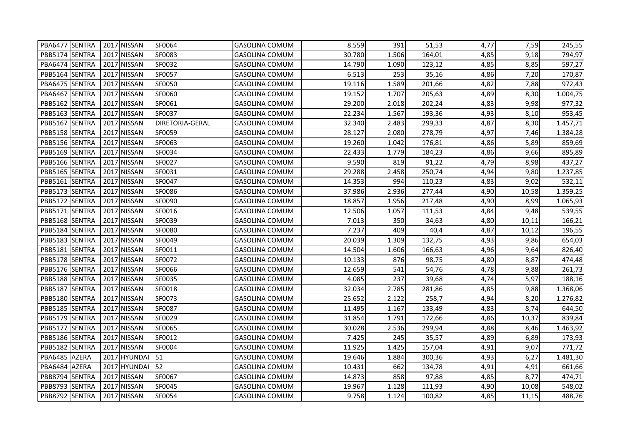| PBA6477 SENTRA | 2017 NISSAN  | SF0064                 | <b>GASOLINA COMUM</b> | 8.559  | 391   | 51,53  | 4,77 | 7,59  | 245,55   |
|----------------|--------------|------------------------|-----------------------|--------|-------|--------|------|-------|----------|
| PBB5174 SENTRA | 2017 NISSAN  | SF0083                 | GASOLINA COMUM        | 30.780 | 1.506 | 164,01 | 4,85 | 9,18  | 794,97   |
| PBA6474 SENTRA | 2017 NISSAN  | SF0032                 | <b>GASOLINA COMUM</b> | 14.790 | 1.090 | 123,12 | 4,85 | 8,85  | 597,27   |
| PBB5164 SENTRA | 2017 NISSAN  | SF0057                 | <b>GASOLINA COMUM</b> | 6.513  | 253   | 35,16  | 4,86 | 7,20  | 170,87   |
| PBA6475 SENTRA | 2017 NISSAN  | SF0050                 | GASOLINA COMUM        | 19.116 | 1.589 | 201,66 | 4,82 | 7,88  | 972,43   |
| PBA6467 SENTRA | 2017 NISSAN  | SF0060                 | GASOLINA COMUM        | 19.152 | 1.707 | 205,63 | 4,89 | 8,30  | 1.004,75 |
| PBB5162 SENTRA | 2017 NISSAN  | SF0061                 | <b>GASOLINA COMUM</b> | 29.200 | 2.018 | 202,24 | 4,83 | 9,98  | 977,32   |
| PBB5163 SENTRA | 2017 NISSAN  | SF0037                 | <b>GASOLINA COMUM</b> | 22.234 | 1.567 | 193,36 | 4,93 | 8,10  | 953,45   |
| PBB5167 SENTRA | 2017 NISSAN  | <b>DIRETORIA-GERAL</b> | <b>GASOLINA COMUM</b> | 32.340 | 2.483 | 299,33 | 4,87 | 8,30  | 1.457,71 |
| PBB5158 SENTRA | 2017 NISSAN  | SF0059                 | <b>GASOLINA COMUM</b> | 28.127 | 2.080 | 278,79 | 4,97 | 7,46  | 1.384,28 |
| PBB5156 SENTRA | 2017 NISSAN  | SF0063                 | <b>GASOLINA COMUM</b> | 19.260 | 1.042 | 176,81 | 4,86 | 5,89  | 859,69   |
| PBB5169 SENTRA | 2017 NISSAN  | SF0034                 | <b>GASOLINA COMUM</b> | 22.433 | 1.779 | 184,23 | 4,86 | 9,66  | 895,89   |
| PBB5166 SENTRA | 2017 NISSAN  | SF0027                 | <b>GASOLINA COMUM</b> | 9.590  | 819   | 91,22  | 4,79 | 8,98  | 437,27   |
| PBB5165 SENTRA | 2017 NISSAN  | SF0031                 | <b>GASOLINA COMUM</b> | 29.288 | 2.458 | 250,74 | 4,94 | 9,80  | 1.237,85 |
| PBB5161 SENTRA | 2017 NISSAN  | SF0047                 | <b>GASOLINA COMUM</b> | 14.353 | 994   | 110,23 | 4,83 | 9,02  | 532,11   |
| PBB5173 SENTRA | 2017 NISSAN  | SF0086                 | <b>GASOLINA COMUM</b> | 37.986 | 2.936 | 277,44 | 4,90 | 10,58 | 1.359,25 |
| PBB5172 SENTRA | 2017 NISSAN  | SF0090                 | <b>GASOLINA COMUM</b> | 18.857 | 1.956 | 217,48 | 4,90 | 8,99  | 1.065,93 |
| PBB5171 SENTRA | 2017 NISSAN  | SF0016                 | <b>GASOLINA COMUM</b> | 12.506 | 1.057 | 111,53 | 4,84 | 9,48  | 539,55   |
| PBB5168 SENTRA | 2017 NISSAN  | SF0039                 | <b>GASOLINA COMUM</b> | 7.013  | 350   | 34,63  | 4,80 | 10,11 | 166,21   |
| PBB5184 SENTRA | 2017 NISSAN  | SF0080                 | <b>GASOLINA COMUM</b> | 7.237  | 409   | 40,4   | 4,87 | 10,12 | 196,55   |
| PBB5183 SENTRA | 2017 NISSAN  | SF0049                 | <b>GASOLINA COMUM</b> | 20.039 | 1.309 | 132,75 | 4,93 | 9,86  | 654,03   |
| PBB5181 SENTRA | 2017 NISSAN  | SF0011                 | <b>GASOLINA COMUM</b> | 14.504 | 1.606 | 166,63 | 4,96 | 9,64  | 826,40   |
| PBB5178 SENTRA | 2017 NISSAN  | SF0072                 | <b>GASOLINA COMUM</b> | 10.133 | 876   | 98,75  | 4,80 | 8,87  | 474,48   |
| PBB5176 SENTRA | 2017 NISSAN  | SF0066                 | <b>GASOLINA COMUM</b> | 12.659 | 541   | 54,76  | 4,78 | 9,88  | 261,73   |
| PBB5188 SENTRA | 2017 NISSAN  | SF0035                 | <b>GASOLINA COMUM</b> | 4.085  | 237   | 39,68  | 4,74 | 5,97  | 188,16   |
| PBB5187 SENTRA | 2017 NISSAN  | SF0018                 | <b>GASOLINA COMUM</b> | 32.034 | 2.785 | 281,86 | 4,85 | 9,88  | 1.368,06 |
| PBB5180 SENTRA | 2017 NISSAN  | SF0073                 | <b>GASOLINA COMUM</b> | 25.652 | 2.122 | 258,7  | 4,94 | 8,20  | 1.276,82 |
| PBB5185 SENTRA | 2017 NISSAN  | SF0087                 | <b>GASOLINA COMUM</b> | 11.495 | 1.167 | 133,49 | 4,83 | 8,74  | 644,50   |
| PBB5179 SENTRA | 2017 NISSAN  | SF0029                 | <b>GASOLINA COMUM</b> | 31.854 | 1.791 | 172,66 | 4,86 | 10,37 | 839,84   |
| PBB5177 SENTRA | 2017 NISSAN  | SF0065                 | <b>GASOLINA COMUM</b> | 30.028 | 2.536 | 299,94 | 4,88 | 8,46  | 1.463,92 |
| PBB5186 SENTRA | 2017 NISSAN  | SF0012                 | <b>GASOLINA COMUM</b> | 7.425  | 245   | 35,57  | 4,89 | 6,89  | 173,93   |
| PBB5182 SENTRA | 2017 NISSAN  | SF0004                 | <b>GASOLINA COMUM</b> | 11.925 | 1.425 | 157,04 | 4,91 | 9,07  | 771,72   |
| PBA6485 AZERA  | 2017 HYUNDAI | 51                     | <b>GASOLINA COMUM</b> | 19.646 | 1.884 | 300,36 | 4,93 | 6,27  | 1.481,30 |
| PBA6484 AZERA  | 2017 HYUNDAI | 52                     | <b>GASOLINA COMUM</b> | 10.431 | 662   | 134,78 | 4,91 | 4,91  | 661,66   |
| PBB8794 SENTRA | 2017 NISSAN  | SF0067                 | <b>GASOLINA COMUM</b> | 14.873 | 858   | 97,88  | 4,85 | 8,77  | 474,71   |
| PBB8793 SENTRA | 2017 NISSAN  | SF0045                 | <b>GASOLINA COMUM</b> | 19.967 | 1.128 | 111,93 | 4,90 | 10,08 | 548,02   |
| PBB8792 SENTRA | 2017 NISSAN  | SF0054                 | <b>GASOLINA COMUM</b> | 9.758  | 1.124 | 100,82 | 4,85 | 11,15 | 488,76   |